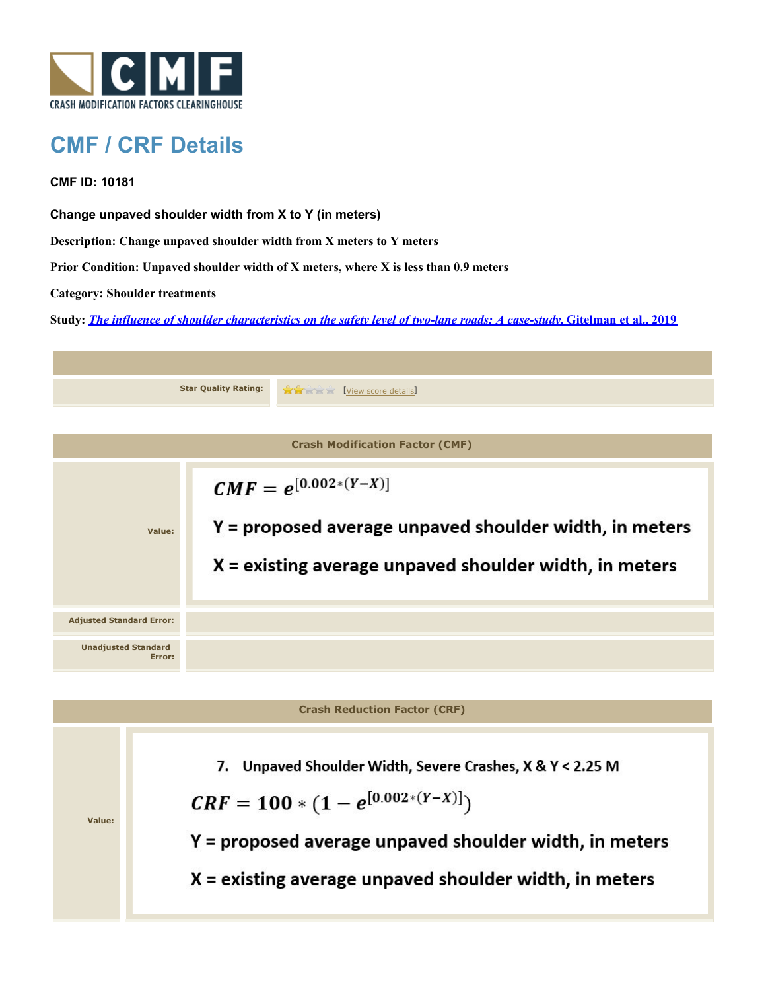

## **CMF / CRF Details**

**CMF ID: 10181**

**Change unpaved shoulder width from X to Y (in meters)**

**Description: Change unpaved shoulder width from X meters to Y meters**

**Prior Condition: Unpaved shoulder width of X meters, where X is less than 0.9 meters**

**Category: Shoulder treatments**

**Study:** *[The influence of shoulder characteristics on the safety level of two-lane roads: A case-study](http://www.cmfclearinghouse.org/study_detail.cfm?stid=584)***[, Gitelman et al., 2019](http://www.cmfclearinghouse.org/study_detail.cfm?stid=584)**



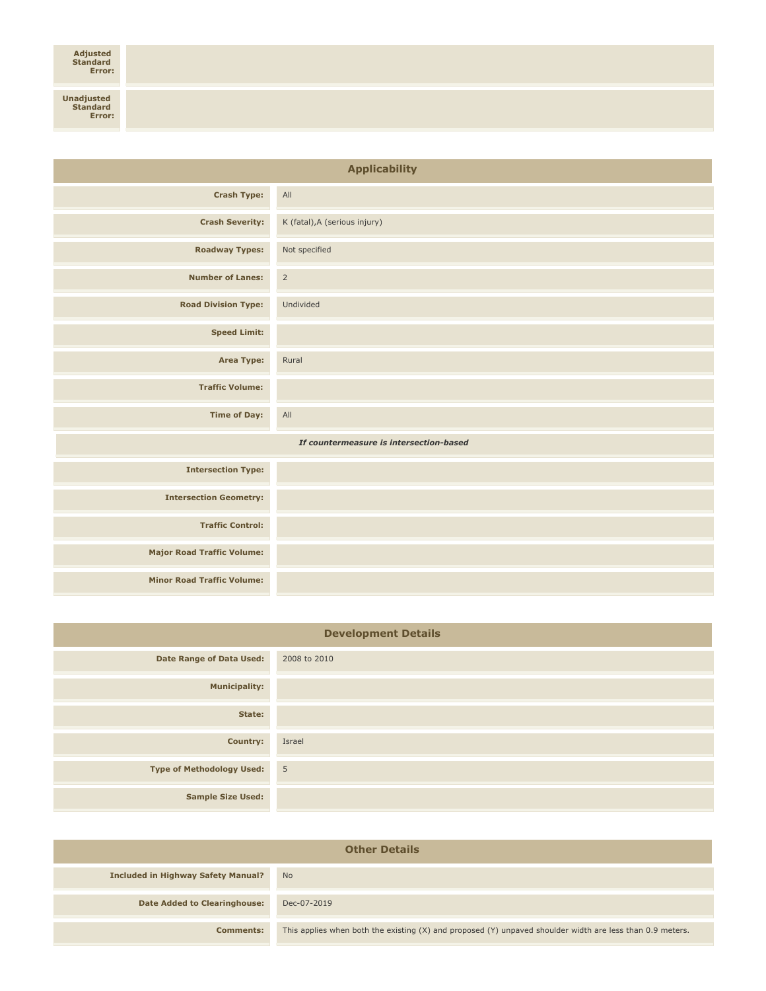## **Adjusted Standard Error:**

| <b>Applicability</b>                    |                               |
|-----------------------------------------|-------------------------------|
| <b>Crash Type:</b>                      | All                           |
| <b>Crash Severity:</b>                  | K (fatal), A (serious injury) |
| <b>Roadway Types:</b>                   | Not specified                 |
| <b>Number of Lanes:</b>                 | $\overline{2}$                |
| <b>Road Division Type:</b>              | Undivided                     |
| <b>Speed Limit:</b>                     |                               |
| <b>Area Type:</b>                       | Rural                         |
| <b>Traffic Volume:</b>                  |                               |
| <b>Time of Day:</b>                     | All                           |
| If countermeasure is intersection-based |                               |
| <b>Intersection Type:</b>               |                               |
| <b>Intersection Geometry:</b>           |                               |
| <b>Traffic Control:</b>                 |                               |
| <b>Major Road Traffic Volume:</b>       |                               |
| <b>Minor Road Traffic Volume:</b>       |                               |

| <b>Development Details</b>       |              |
|----------------------------------|--------------|
| <b>Date Range of Data Used:</b>  | 2008 to 2010 |
| <b>Municipality:</b>             |              |
| State:                           |              |
| <b>Country:</b>                  | Israel       |
| <b>Type of Methodology Used:</b> | $\sqrt{5}$   |
| <b>Sample Size Used:</b>         |              |

| <b>Other Details</b>                      |                                                                                                           |
|-------------------------------------------|-----------------------------------------------------------------------------------------------------------|
| <b>Included in Highway Safety Manual?</b> | <b>No</b>                                                                                                 |
| <b>Date Added to Clearinghouse:</b>       | Dec-07-2019                                                                                               |
| <b>Comments:</b>                          | This applies when both the existing (X) and proposed (Y) unpaved shoulder width are less than 0.9 meters. |